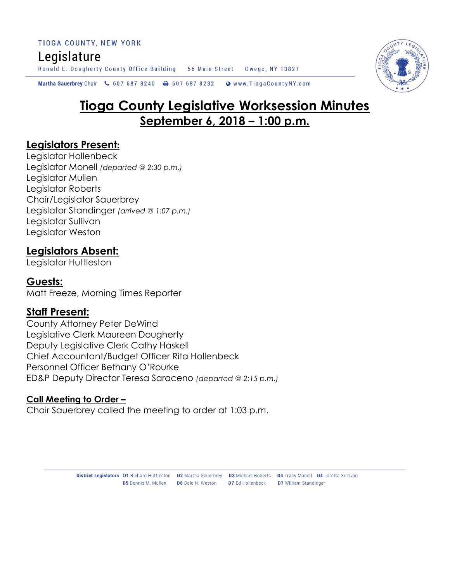TIOGA COUNTY, NEW YORK Legislature Ronald E. Dougherty County Office Building 56 Main Street Owego, NY 13827

Martha Sauerbrey Chair & 607 687 8240  $\bigoplus$  607 687 8232 Www.TiogaCountyNY.com

# **Tioga County Legislative Worksession Minutes September 6, 2018 – 1:00 p.m.**

#### **Legislators Present:**

Legislator Hollenbeck Legislator Monell *(departed @ 2:30 p.m.)* Legislator Mullen Legislator Roberts Chair/Legislator Sauerbrey Legislator Standinger *(arrived @ 1:07 p.m.)* Legislator Sullivan Legislator Weston

#### **Legislators Absent:**

Legislator Huttleston

#### **Guests:**

Matt Freeze, Morning Times Reporter

#### **Staff Present:**

County Attorney Peter DeWind Legislative Clerk Maureen Dougherty Deputy Legislative Clerk Cathy Haskell Chief Accountant/Budget Officer Rita Hollenbeck Personnel Officer Bethany O'Rourke ED&P Deputy Director Teresa Saraceno *(departed @ 2:15 p.m.)*

#### **Call Meeting to Order –**

Chair Sauerbrey called the meeting to order at 1:03 p.m.

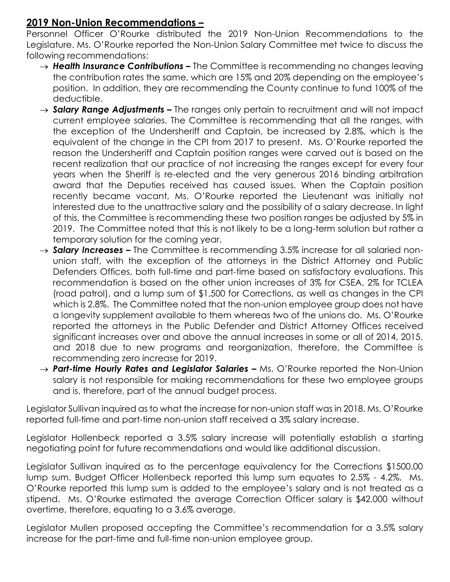### **2019 Non-Union Recommendations –**

Personnel Officer O'Rourke distributed the 2019 Non-Union Recommendations to the Legislature. Ms. O'Rourke reported the Non-Union Salary Committee met twice to discuss the following recommendations:

- → **Health Insurance Contributions –** The Committee is recommending no changes leaving the contribution rates the same, which are 15% and 20% depending on the employee's position. In addition, they are recommending the County continue to fund 100% of the deductible.
- → **Salary Range Adjustments –** The ranges only pertain to recruitment and will not impact current employee salaries. The Committee is recommending that all the ranges, with the exception of the Undersheriff and Captain, be increased by 2.8%, which is the equivalent of the change in the CPI from 2017 to present. Ms. O'Rourke reported the reason the Undersheriff and Captain position ranges were carved out is based on the recent realization that our practice of not increasing the ranges except for every four years when the Sheriff is re-elected and the very generous 2016 binding arbitration award that the Deputies received has caused issues. When the Captain position recently became vacant, Ms. O'Rourke reported the Lieutenant was initially not interested due to the unattractive salary and the possibility of a salary decrease. In light of this, the Committee is recommending these two position ranges be adjusted by 5% in 2019. The Committee noted that this is not likely to be a long-term solution but rather a temporary solution for the coming year.
- $\rightarrow$  **Salary Increases –** The Committee is recommending 3.5% increase for all salaried nonunion staff, with the exception of the attorneys in the District Attorney and Public Defenders Offices, both full-time and part-time based on satisfactory evaluations. This recommendation is based on the other union increases of 3% for CSEA, 2% for TCLEA (road patrol), and a lump sum of \$1,500 for Corrections, as well as changes in the CPI which is 2.8%. The Committee noted that the non-union employee group does not have a longevity supplement available to them whereas two of the unions do. Ms. O'Rourke reported the attorneys in the Public Defender and District Attorney Offices received significant increases over and above the annual increases in some or all of 2014, 2015, and 2018 due to new programs and reorganization, therefore, the Committee is recommending zero increase for 2019.
- → Part-time Hourly Rates and Legislator Salaries Ms. O'Rourke reported the Non-Union salary is not responsible for making recommendations for these two employee groups and is, therefore, part of the annual budget process.

Legislator Sullivan inquired as to what the increase for non-union staff was in 2018. Ms. O'Rourke reported full-time and part-time non-union staff received a 3% salary increase.

Legislator Hollenbeck reported a 3.5% salary increase will potentially establish a starting negotiating point for future recommendations and would like additional discussion.

Legislator Sullivan inquired as to the percentage equivalency for the Corrections \$1500.00 lump sum. Budget Officer Hollenbeck reported this lump sum equates to 2.5% - 4.2%. Ms. O'Rourke reported this lump sum is added to the employee's salary and is not treated as a stipend. Ms. O'Rourke estimated the average Correction Officer salary is \$42,000 without overtime, therefore, equating to a 3.6% average.

Legislator Mullen proposed accepting the Committee's recommendation for a 3.5% salary increase for the part-time and full-time non-union employee group.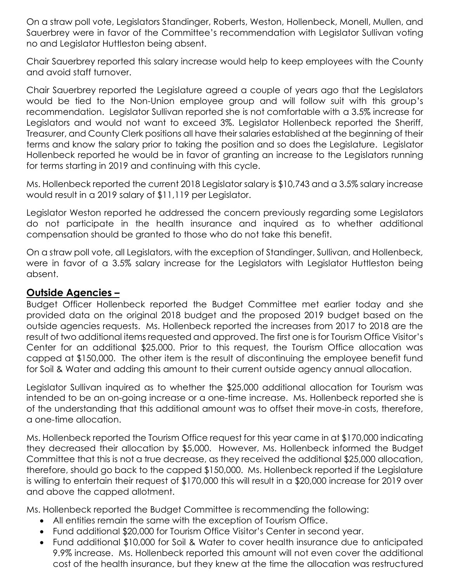On a straw poll vote, Legislators Standinger, Roberts, Weston, Hollenbeck, Monell, Mullen, and Sauerbrey were in favor of the Committee's recommendation with Legislator Sullivan voting no and Legislator Huttleston being absent.

Chair Sauerbrey reported this salary increase would help to keep employees with the County and avoid staff turnover.

Chair Sauerbrey reported the Legislature agreed a couple of years ago that the Legislators would be tied to the Non-Union employee group and will follow suit with this group's recommendation. Legislator Sullivan reported she is not comfortable with a 3.5% increase for Legislators and would not want to exceed 3%. Legislator Hollenbeck reported the Sheriff, Treasurer, and County Clerk positions all have their salaries established at the beginning of their terms and know the salary prior to taking the position and so does the Legislature. Legislator Hollenbeck reported he would be in favor of granting an increase to the Legislators running for terms starting in 2019 and continuing with this cycle.

Ms. Hollenbeck reported the current 2018 Legislator salary is \$10,743 and a 3.5% salary increase would result in a 2019 salary of \$11,119 per Legislator.

Legislator Weston reported he addressed the concern previously regarding some Legislators do not participate in the health insurance and inquired as to whether additional compensation should be granted to those who do not take this benefit.

On a straw poll vote, all Legislators, with the exception of Standinger, Sullivan, and Hollenbeck, were in favor of a 3.5% salary increase for the Legislators with Legislator Huttleston being absent.

## **Outside Agencies –**

Budget Officer Hollenbeck reported the Budget Committee met earlier today and she provided data on the original 2018 budget and the proposed 2019 budget based on the outside agencies requests. Ms. Hollenbeck reported the increases from 2017 to 2018 are the result of two additional items requested and approved. The first one is for Tourism Office Visitor's Center for an additional \$25,000. Prior to this request, the Tourism Office allocation was capped at \$150,000. The other item is the result of discontinuing the employee benefit fund for Soil & Water and adding this amount to their current outside agency annual allocation.

Legislator Sullivan inquired as to whether the \$25,000 additional allocation for Tourism was intended to be an on-going increase or a one-time increase. Ms. Hollenbeck reported she is of the understanding that this additional amount was to offset their move-in costs, therefore, a one-time allocation.

Ms. Hollenbeck reported the Tourism Office request for this year came in at \$170,000 indicating they decreased their allocation by \$5,000. However, Ms. Hollenbeck informed the Budget Committee that this is not a true decrease, as they received the additional \$25,000 allocation, therefore, should go back to the capped \$150,000. Ms. Hollenbeck reported if the Legislature is willing to entertain their request of \$170,000 this will result in a \$20,000 increase for 2019 over and above the capped allotment.

Ms. Hollenbeck reported the Budget Committee is recommending the following:

- All entities remain the same with the exception of Tourism Office.
- Fund additional \$20,000 for Tourism Office Visitor's Center in second year.
- Fund additional \$10,000 for Soil & Water to cover health insurance due to anticipated 9.9% increase. Ms. Hollenbeck reported this amount will not even cover the additional cost of the health insurance, but they knew at the time the allocation was restructured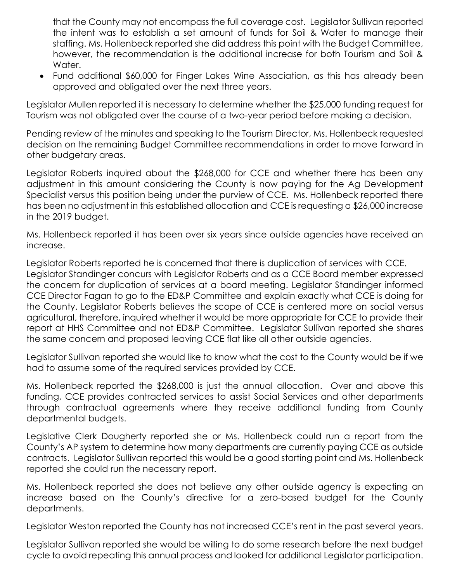that the County may not encompass the full coverage cost. Legislator Sullivan reported the intent was to establish a set amount of funds for Soil & Water to manage their staffing. Ms. Hollenbeck reported she did address this point with the Budget Committee, however, the recommendation is the additional increase for both Tourism and Soil & Water.

 Fund additional \$60,000 for Finger Lakes Wine Association, as this has already been approved and obligated over the next three years.

Legislator Mullen reported it is necessary to determine whether the \$25,000 funding request for Tourism was not obligated over the course of a two-year period before making a decision.

Pending review of the minutes and speaking to the Tourism Director, Ms. Hollenbeck requested decision on the remaining Budget Committee recommendations in order to move forward in other budgetary areas.

Legislator Roberts inquired about the \$268,000 for CCE and whether there has been any adjustment in this amount considering the County is now paying for the Ag Development Specialist versus this position being under the purview of CCE. Ms. Hollenbeck reported there has been no adjustment in this established allocation and CCE is requesting a \$26,000 increase in the 2019 budget.

Ms. Hollenbeck reported it has been over six years since outside agencies have received an increase.

Legislator Roberts reported he is concerned that there is duplication of services with CCE. Legislator Standinger concurs with Legislator Roberts and as a CCE Board member expressed the concern for duplication of services at a board meeting. Legislator Standinger informed CCE Director Fagan to go to the ED&P Committee and explain exactly what CCE is doing for the County. Legislator Roberts believes the scope of CCE is centered more on social versus agricultural, therefore, inquired whether it would be more appropriate for CCE to provide their report at HHS Committee and not ED&P Committee. Legislator Sullivan reported she shares the same concern and proposed leaving CCE flat like all other outside agencies.

Legislator Sullivan reported she would like to know what the cost to the County would be if we had to assume some of the required services provided by CCE.

Ms. Hollenbeck reported the \$268,000 is just the annual allocation. Over and above this funding, CCE provides contracted services to assist Social Services and other departments through contractual agreements where they receive additional funding from County departmental budgets.

Legislative Clerk Dougherty reported she or Ms. Hollenbeck could run a report from the County's AP system to determine how many departments are currently paying CCE as outside contracts. Legislator Sullivan reported this would be a good starting point and Ms. Hollenbeck reported she could run the necessary report.

Ms. Hollenbeck reported she does not believe any other outside agency is expecting an increase based on the County's directive for a zero-based budget for the County departments.

Legislator Weston reported the County has not increased CCE's rent in the past several years.

Legislator Sullivan reported she would be willing to do some research before the next budget cycle to avoid repeating this annual process and looked for additional Legislator participation.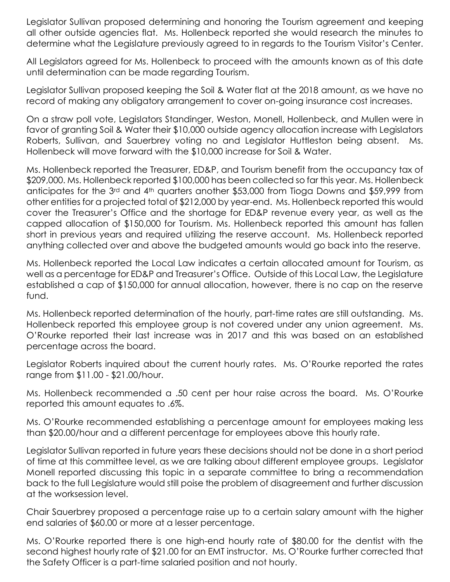Legislator Sullivan proposed determining and honoring the Tourism agreement and keeping all other outside agencies flat. Ms. Hollenbeck reported she would research the minutes to determine what the Legislature previously agreed to in regards to the Tourism Visitor's Center.

All Legislators agreed for Ms. Hollenbeck to proceed with the amounts known as of this date until determination can be made regarding Tourism.

Legislator Sullivan proposed keeping the Soil & Water flat at the 2018 amount, as we have no record of making any obligatory arrangement to cover on-going insurance cost increases.

On a straw poll vote, Legislators Standinger, Weston, Monell, Hollenbeck, and Mullen were in favor of granting Soil & Water their \$10,000 outside agency allocation increase with Legislators Roberts, Sullivan, and Sauerbrey voting no and Legislator Huttleston being absent. Ms. Hollenbeck will move forward with the \$10,000 increase for Soil & Water.

Ms. Hollenbeck reported the Treasurer, ED&P, and Tourism benefit from the occupancy tax of \$209,000. Ms. Hollenbeck reported \$100,000 has been collected so far this year. Ms. Hollenbeck anticipates for the 3rd and 4th quarters another \$53,000 from Tioga Downs and \$59,999 from other entities for a projected total of \$212,000 by year-end. Ms. Hollenbeck reported this would cover the Treasurer's Office and the shortage for ED&P revenue every year, as well as the capped allocation of \$150,000 for Tourism. Ms. Hollenbeck reported this amount has fallen short in previous years and required utilizing the reserve account. Ms. Hollenbeck reported anything collected over and above the budgeted amounts would go back into the reserve.

Ms. Hollenbeck reported the Local Law indicates a certain allocated amount for Tourism, as well as a percentage for ED&P and Treasurer's Office. Outside of this Local Law, the Legislature established a cap of \$150,000 for annual allocation, however, there is no cap on the reserve fund.

Ms. Hollenbeck reported determination of the hourly, part-time rates are still outstanding. Ms. Hollenbeck reported this employee group is not covered under any union agreement. Ms. O'Rourke reported their last increase was in 2017 and this was based on an established percentage across the board.

Legislator Roberts inquired about the current hourly rates. Ms. O'Rourke reported the rates range from \$11.00 - \$21.00/hour.

Ms. Hollenbeck recommended a .50 cent per hour raise across the board. Ms. O'Rourke reported this amount equates to .6%.

Ms. O'Rourke recommended establishing a percentage amount for employees making less than \$20.00/hour and a different percentage for employees above this hourly rate.

Legislator Sullivan reported in future years these decisions should not be done in a short period of time at this committee level, as we are talking about different employee groups. Legislator Monell reported discussing this topic in a separate committee to bring a recommendation back to the full Legislature would still poise the problem of disagreement and further discussion at the worksession level.

Chair Sauerbrey proposed a percentage raise up to a certain salary amount with the higher end salaries of \$60.00 or more at a lesser percentage.

Ms. O'Rourke reported there is one high-end hourly rate of \$80.00 for the dentist with the second highest hourly rate of \$21.00 for an EMT instructor. Ms. O'Rourke further corrected that the Safety Officer is a part-time salaried position and not hourly.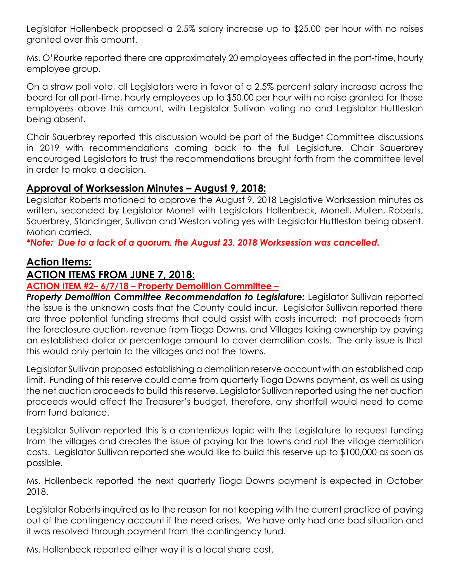Legislator Hollenbeck proposed a 2.5% salary increase up to \$25.00 per hour with no raises granted over this amount.

Ms. O'Rourke reported there are approximately 20 employees affected in the part-time, hourly employee group.

On a straw poll vote, all Legislators were in favor of a 2.5% percent salary increase across the board for all part-time, hourly employees up to \$50.00 per hour with no raise granted for those employees above this amount, with Legislator Sullivan voting no and Legislator Huttleston being absent.

Chair Sauerbrey reported this discussion would be part of the Budget Committee discussions in 2019 with recommendations coming back to the full Legislature. Chair Sauerbrey encouraged Legislators to trust the recommendations brought forth from the committee level in order to make a decision.

### **Approval of Worksession Minutes – August 9, 2018:**

Legislator Roberts motioned to approve the August 9, 2018 Legislative Worksession minutes as written, seconded by Legislator Monell with Legislators Hollenbeck, Monell, Mullen, Roberts, Sauerbrey, Standinger, Sullivan and Weston voting yes with Legislator Huttleston being absent. Motion carried.

*\*Note: Due to a lack of a quorum, the August 23, 2018 Worksession was cancelled.* 

# **Action Items:**

## **ACTION ITEMS FROM JUNE 7, 2018:**

#### **ACTION ITEM #2– 6/7/18 – Property Demolition Committee –**

**Property Demolition Committee Recommendation to Legislature:** Legislator Sullivan reported the issue is the unknown costs that the County could incur. Legislator Sullivan reported there are three potential funding streams that could assist with costs incurred: net proceeds from the foreclosure auction, revenue from Tioga Downs, and Villages taking ownership by paying an established dollar or percentage amount to cover demolition costs. The only issue is that this would only pertain to the villages and not the towns.

Legislator Sullivan proposed establishing a demolition reserve account with an established cap limit. Funding of this reserve could come from quarterly Tioga Downs payment, as well as using the net auction proceeds to build this reserve. Legislator Sullivan reported using the net auction proceeds would affect the Treasurer's budget, therefore, any shortfall would need to come from fund balance.

Legislator Sullivan reported this is a contentious topic with the Legislature to request funding from the villages and creates the issue of paying for the towns and not the village demolition costs. Legislator Sullivan reported she would like to build this reserve up to \$100,000 as soon as possible.

Ms. Hollenbeck reported the next quarterly Tioga Downs payment is expected in October 2018.

Legislator Roberts inquired as to the reason for not keeping with the current practice of paying out of the contingency account if the need arises. We have only had one bad situation and it was resolved through payment from the contingency fund.

Ms. Hollenbeck reported either way it is a local share cost.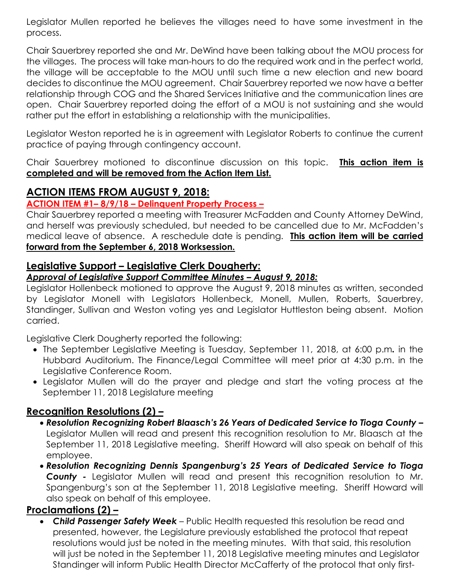Legislator Mullen reported he believes the villages need to have some investment in the process.

Chair Sauerbrey reported she and Mr. DeWind have been talking about the MOU process for the villages. The process will take man-hours to do the required work and in the perfect world, the village will be acceptable to the MOU until such time a new election and new board decides to discontinue the MOU agreement. Chair Sauerbrey reported we now have a better relationship through COG and the Shared Services Initiative and the communication lines are open. Chair Sauerbrey reported doing the effort of a MOU is not sustaining and she would rather put the effort in establishing a relationship with the municipalities.

Legislator Weston reported he is in agreement with Legislator Roberts to continue the current practice of paying through contingency account.

Chair Sauerbrey motioned to discontinue discussion on this topic. **This action item is completed and will be removed from the Action Item List.** 

## **ACTION ITEMS FROM AUGUST 9, 2018:**

#### **ACTION ITEM #1– 8/9/18 – Delinquent Property Process –**

Chair Sauerbrey reported a meeting with Treasurer McFadden and County Attorney DeWind, and herself was previously scheduled, but needed to be cancelled due to Mr. McFadden's medical leave of absence. A reschedule date is pending. **This action item will be carried forward from the September 6, 2018 Worksession.**  Ξ

## **Legislative Support – Legislative Clerk Dougherty:**

#### *Approval of Legislative Support Committee Minutes – August 9, 2018:*

Legislator Hollenbeck motioned to approve the August 9, 2018 minutes as written, seconded by Legislator Monell with Legislators Hollenbeck, Monell, Mullen, Roberts, Sauerbrey, Standinger, Sullivan and Weston voting yes and Legislator Huttleston being absent. Motion carried.

Legislative Clerk Dougherty reported the following:

- The September Legislative Meeting is Tuesday, September 11, 2018, at 6:00 p.m*.* in the Hubbard Auditorium. The Finance/Legal Committee will meet prior at 4:30 p.m. in the Legislative Conference Room.
- Legislator Mullen will do the prayer and pledge and start the voting process at the September 11, 2018 Legislature meeting

## **Recognition Resolutions (2) –**

- *Resolution Recognizing Robert Blaasch's 26 Years of Dedicated Service to Tioga County –* Legislator Mullen will read and present this recognition resolution to Mr. Blaasch at the September 11, 2018 Legislative meeting. Sheriff Howard will also speak on behalf of this employee.
- *Resolution Recognizing Dennis Spangenburg's 25 Years of Dedicated Service to Tioga County -* Legislator Mullen will read and present this recognition resolution to Mr. Spangenburg's son at the September 11, 2018 Legislative meeting. Sheriff Howard will also speak on behalf of this employee.

## **Proclamations (2) –**

 *Child Passenger Safety Week* – Public Health requested this resolution be read and presented, however, the Legislature previously established the protocol that repeat resolutions would just be noted in the meeting minutes. With that said, this resolution will just be noted in the September 11, 2018 Legislative meeting minutes and Legislator Standinger will inform Public Health Director McCafferty of the protocol that only first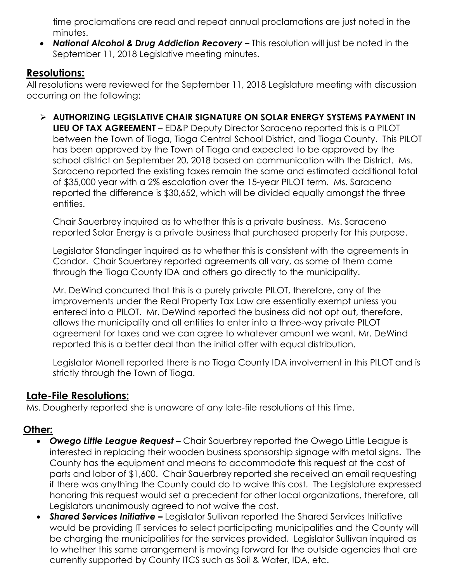time proclamations are read and repeat annual proclamations are just noted in the minutes.

• National Alcohol & Drug Addiction Recovery – This resolution will just be noted in the September 11, 2018 Legislative meeting minutes.

### **Resolutions:**

All resolutions were reviewed for the September 11, 2018 Legislature meeting with discussion occurring on the following:

 **AUTHORIZING LEGISLATIVE CHAIR SIGNATURE ON SOLAR ENERGY SYSTEMS PAYMENT IN LIEU OF TAX AGREEMENT** – ED&P Deputy Director Saraceno reported this is a PILOT between the Town of Tioga, Tioga Central School District, and Tioga County. This PILOT has been approved by the Town of Tioga and expected to be approved by the school district on September 20, 2018 based on communication with the District. Ms. Saraceno reported the existing taxes remain the same and estimated additional total of \$35,000 year with a 2% escalation over the 15-year PILOT term. Ms. Saraceno reported the difference is \$30,652, which will be divided equally amongst the three entities.

Chair Sauerbrey inquired as to whether this is a private business. Ms. Saraceno reported Solar Energy is a private business that purchased property for this purpose.

Legislator Standinger inquired as to whether this is consistent with the agreements in Candor. Chair Sauerbrey reported agreements all vary, as some of them come through the Tioga County IDA and others go directly to the municipality.

Mr. DeWind concurred that this is a purely private PILOT, therefore, any of the improvements under the Real Property Tax Law are essentially exempt unless you entered into a PILOT. Mr. DeWind reported the business did not opt out, therefore, allows the municipality and all entities to enter into a three-way private PILOT agreement for taxes and we can agree to whatever amount we want. Mr. DeWind reported this is a better deal than the initial offer with equal distribution.

Legislator Monell reported there is no Tioga County IDA involvement in this PILOT and is strictly through the Town of Tioga.

## **Late-File Resolutions:**

Ms. Dougherty reported she is unaware of any late-file resolutions at this time.

# **Other:**

- **Owego Little League Request –** Chair Sauerbrey reported the Owego Little League is interested in replacing their wooden business sponsorship signage with metal signs. The County has the equipment and means to accommodate this request at the cost of parts and labor of \$1,600. Chair Sauerbrey reported she received an email requesting if there was anything the County could do to waive this cost. The Legislature expressed honoring this request would set a precedent for other local organizations, therefore, all Legislators unanimously agreed to not waive the cost.
- **Shared Services Initiative –** Legislator Sullivan reported the Shared Services Initiative would be providing IT services to select participating municipalities and the County will be charging the municipalities for the services provided. Legislator Sullivan inquired as to whether this same arrangement is moving forward for the outside agencies that are currently supported by County ITCS such as Soil & Water, IDA, etc.